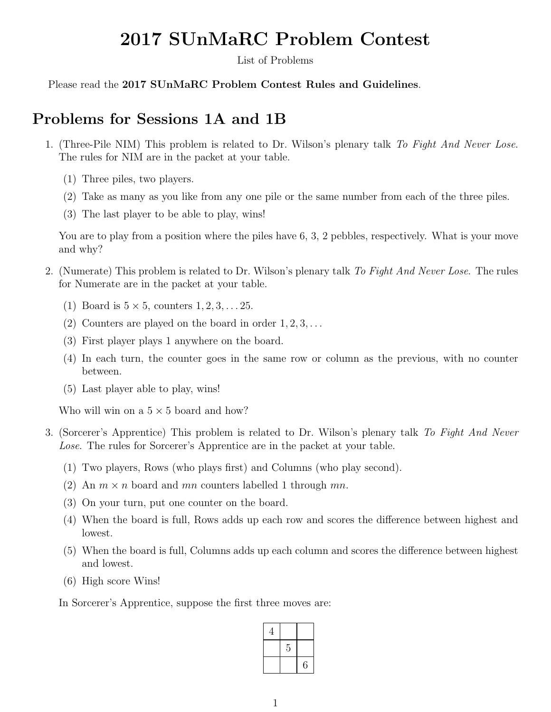# 2017 SUnMaRC Problem Contest

List of Problems

Please read the 2017 SUnMaRC Problem Contest Rules and Guidelines.

## Problems for Sessions 1A and 1B

- 1. (Three-Pile NIM) This problem is related to Dr. Wilson's plenary talk *To Fight And Never Lose*. The rules for NIM are in the packet at your table.
	- (1) Three piles, two players.
	- (2) Take as many as you like from any one pile or the same number from each of the three piles.
	- (3) The last player to be able to play, wins!

You are to play from a position where the piles have 6, 3, 2 pebbles, respectively. What is your move and why?

- 2. (Numerate) This problem is related to Dr. Wilson's plenary talk *To Fight And Never Lose*. The rules for Numerate are in the packet at your table.
	- (1) Board is  $5 \times 5$ , counters  $1, 2, 3, \ldots 25$ .
	- (2) Counters are played on the board in order 1*,* 2*,* 3*,...*
	- (3) First player plays 1 anywhere on the board.
	- (4) In each turn, the counter goes in the same row or column as the previous, with no counter between.
	- (5) Last player able to play, wins!

Who will win on a  $5 \times 5$  board and how?

- 3. (Sorcerer's Apprentice) This problem is related to Dr. Wilson's plenary talk *To Fight And Never Lose*. The rules for Sorcerer's Apprentice are in the packet at your table.
	- (1) Two players, Rows (who plays first) and Columns (who play second).
	- (2) An  $m \times n$  board and  $mn$  counters labelled 1 through  $mn$ .
	- (3) On your turn, put one counter on the board.
	- (4) When the board is full, Rows adds up each row and scores the difference between highest and lowest.
	- (5) When the board is full, Columns adds up each column and scores the difference between highest and lowest.
	- (6) High score Wins!

In Sorcerer's Apprentice, suppose the first three moves are:

| 4 |   |   |
|---|---|---|
|   | 5 |   |
|   |   | 6 |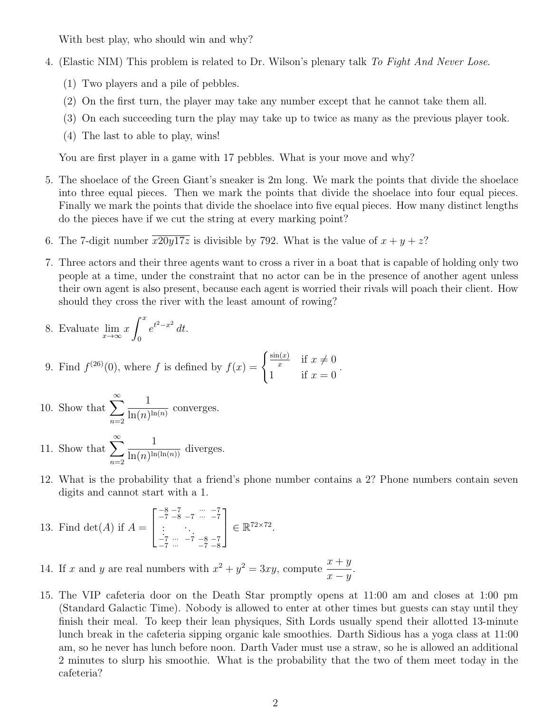With best play, who should win and why?

- 4. (Elastic NIM) This problem is related to Dr. Wilson's plenary talk *To Fight And Never Lose*.
	- (1) Two players and a pile of pebbles.
	- (2) On the first turn, the player may take any number except that he cannot take them all.
	- (3) On each succeeding turn the play may take up to twice as many as the previous player took.
	- (4) The last to able to play, wins!

You are first player in a game with 17 pebbles. What is your move and why?

- 5. The shoelace of the Green Giant's sneaker is 2m long. We mark the points that divide the shoelace into three equal pieces. Then we mark the points that divide the shoelace into four equal pieces. Finally we mark the points that divide the shoelace into five equal pieces. How many distinct lengths do the pieces have if we cut the string at every marking point?
- 6. The 7-digit number  $\overline{x20y17z}$  is divisible by 792. What is the value of  $x + y + z$ ?
- 7. Three actors and their three agents want to cross a river in a boat that is capable of holding only two people at a time, under the constraint that no actor can be in the presence of another agent unless their own agent is also present, because each agent is worried their rivals will poach their client. How should they cross the river with the least amount of rowing?

8. Evaluate 
$$
\lim_{x \to \infty} x \int_0^x e^{t^2 - x^2} dt
$$
.

9. Find 
$$
f^{(26)}(0)
$$
, where f is defined by  $f(x) = \begin{cases} \frac{\sin(x)}{x} & \text{if } x \neq 0 \\ 1 & \text{if } x = 0 \end{cases}$ .

- 10. Show that  $\sum_{n=1}^{\infty}$ *n*=2 1  $\frac{1}{\ln(n)^{\ln(n)}}$  converges.
- 11. Show that  $\sum_{n=1}^{\infty}$ *n*=2 1  $\frac{1}{\ln(n)^{\ln(\ln(n))}}$  diverges.
- 12. What is the probability that a friend's phone number contains a 2? Phone numbers contain seven digits and cannot start with a 1*.*

13. Find 
$$
\det(A)
$$
 if  $A = \begin{bmatrix} -8 & -7 & \cdots & -7 \\ -7 & -8 & -7 & \cdots & -7 \\ \vdots & \ddots & \ddots & \vdots \\ -7 & \cdots & -7 & -8 & -7 \\ -7 & \cdots & -7 & -8 & -8 \end{bmatrix} \in \mathbb{R}^{72 \times 72}$ .

14. If *x* and *y* are real numbers with  $x^2 + y^2 = 3xy$ , compute  $\frac{x+y}{x}$  $x - y$ .

15. The VIP cafeteria door on the Death Star promptly opens at 11:00 am and closes at 1:00 pm (Standard Galactic Time). Nobody is allowed to enter at other times but guests can stay until they finish their meal. To keep their lean physiques, Sith Lords usually spend their allotted 13-minute lunch break in the cafeteria sipping organic kale smoothies. Darth Sidious has a yoga class at 11:00 am, so he never has lunch before noon. Darth Vader must use a straw, so he is allowed an additional 2 minutes to slurp his smoothie. What is the probability that the two of them meet today in the cafeteria?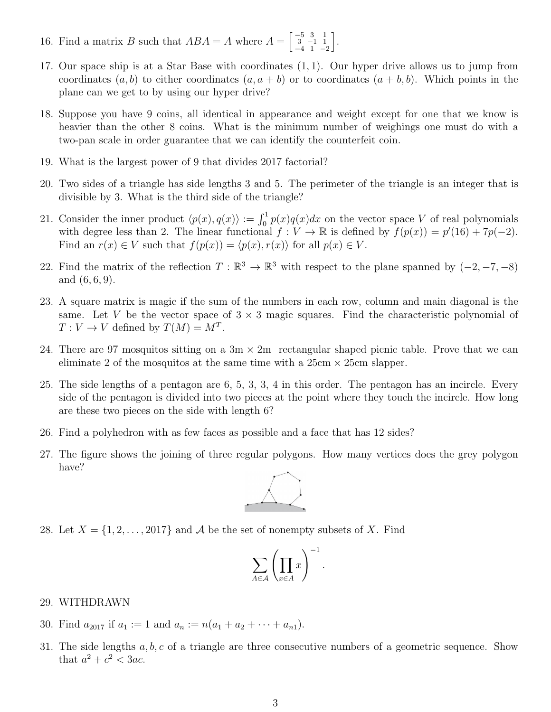- 16. Find a matrix *B* such that  $ABA = A$  where  $A = \begin{bmatrix} -5 & 3 & 1 \\ 3 & -1 & 1 \end{bmatrix}$  $\begin{array}{cc} 3 & -1 & 1 \\ -4 & 1 & -2 \end{array}$ i .
- 17. Our space ship is at a Star Base with coordinates (1*,* 1). Our hyper drive allows us to jump from coordinates  $(a, b)$  to either coordinates  $(a, a + b)$  or to coordinates  $(a + b, b)$ . Which points in the plane can we get to by using our hyper drive?
- 18. Suppose you have 9 coins, all identical in appearance and weight except for one that we know is heavier than the other 8 coins. What is the minimum number of weighings one must do with a two-pan scale in order guarantee that we can identify the counterfeit coin.
- 19. What is the largest power of 9 that divides 2017 factorial?
- 20. Two sides of a triangle has side lengths 3 and 5. The perimeter of the triangle is an integer that is divisible by 3. What is the third side of the triangle?
- 21. Consider the inner product  $\langle p(x), q(x) \rangle := \int_0^1 p(x)q(x)dx$  on the vector space *V* of real polynomials with degree less than 2. The linear functional  $f: V \to \mathbb{R}$  is defined by  $f(p(x)) = p'(16) + 7p(-2)$ . Find an  $r(x) \in V$  such that  $f(p(x)) = \langle p(x), r(x) \rangle$  for all  $p(x) \in V$ .
- 22. Find the matrix of the reflection  $T : \mathbb{R}^3 \to \mathbb{R}^3$  with respect to the plane spanned by  $(-2, -7, -8)$ and (6*,* 6*,* 9).
- 23. A square matrix is magic if the sum of the numbers in each row, column and main diagonal is the same. Let V be the vector space of  $3 \times 3$  magic squares. Find the characteristic polynomial of  $T: V \to V$  defined by  $T(M) = M^T$ .
- 24. There are 97 mosquitos sitting on a  $3m \times 2m$  rectangular shaped picnic table. Prove that we can eliminate 2 of the mosquitos at the same time with a  $25 \text{cm} \times 25 \text{cm}$  slapper.
- 25. The side lengths of a pentagon are 6, 5, 3, 3, 4 in this order. The pentagon has an incircle. Every side of the pentagon is divided into two pieces at the point where they touch the incircle. How long are these two pieces on the side with length 6?
- 26. Find a polyhedron with as few faces as possible and a face that has 12 sides?
- 27. The figure shows the joining of three regular polygons. How many vertices does the grey polygon have?



28. Let  $X = \{1, 2, \ldots, 2017\}$  and A be the set of nonempty subsets of X. Find

$$
\sum_{A\in\mathcal{A}}\left(\prod_{x\in A}x\right)^{-1}.
$$

### 29. WITHDRAWN

- 30. Find  $a_{2017}$  if  $a_1 := 1$  and  $a_n := n(a_1 + a_2 + \cdots + a_{n1}).$
- 31. The side lengths *a, b, c* of a triangle are three consecutive numbers of a geometric sequence. Show that  $a^2 + c^2 < 3ac$ .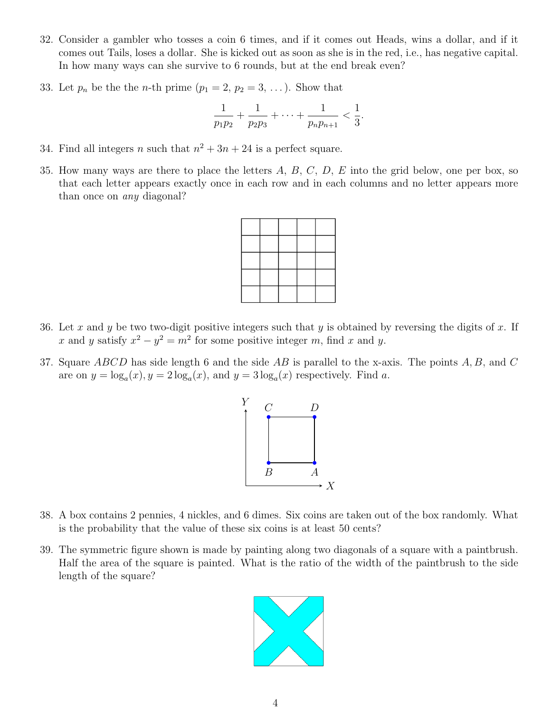- 32. Consider a gambler who tosses a coin 6 times, and if it comes out Heads, wins a dollar, and if it comes out Tails, loses a dollar. She is kicked out as soon as she is in the red, i.e., has negative capital. In how many ways can she survive to 6 rounds, but at the end break even?
- 33. Let  $p_n$  be the the *n*-th prime  $(p_1 = 2, p_2 = 3, \ldots)$ . Show that

$$
\frac{1}{p_1p_2} + \frac{1}{p_2p_3} + \cdots + \frac{1}{p_np_{n+1}} < \frac{1}{3}.
$$

- 34. Find all integers *n* such that  $n^2 + 3n + 24$  is a perfect square.
- 35. How many ways are there to place the letters *A*, *B*, *C*, *D*, *E* into the grid below, one per box, so that each letter appears exactly once in each row and in each columns and no letter appears more than once on *any* diagonal?

- 36. Let *x* and *y* be two two-digit positive integers such that *y* is obtained by reversing the digits of *x*. If *x* and *y* satisfy  $x^2 - y^2 = m^2$  for some positive integer *m*, find *x* and *y*.
- 37. Square *ABCD* has side length 6 and the side *AB* is parallel to the x-axis. The points *A, B,* and *C* are on  $y = \log_a(x)$ ,  $y = 2\log_a(x)$ , and  $y = 3\log_a(x)$  respectively. Find a.



- 38. A box contains 2 pennies, 4 nickles, and 6 dimes. Six coins are taken out of the box randomly. What is the probability that the value of these six coins is at least 50 cents?
- 39. The symmetric figure shown is made by painting along two diagonals of a square with a paintbrush. Half the area of the square is painted. What is the ratio of the width of the paintbrush to the side length of the square?

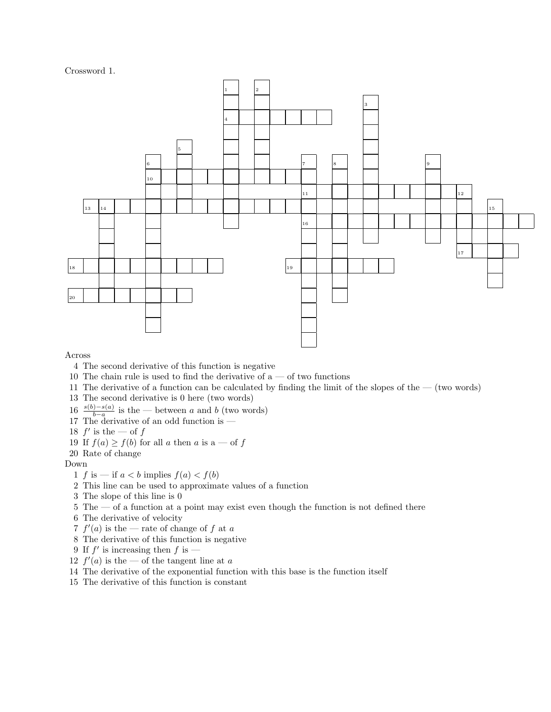#### Crossword 1.



Across

- 4 The second derivative of this function is negative
- 10 The chain rule is used to find the derivative of  $a \text{ -- of two functions}$
- 11 The derivative of a function can be calculated by finding the limit of the slopes of the (two words)
- 13 The second derivative is 0 here (two words)
- 16  $\frac{s(b)-s(a)}{b-a}$  is the between *a* and *b* (two words)<br>17 The derivative of an odd function is —
- 
- 18  $f'$  is the of  $f$
- 19 If  $f(a) \ge f(b)$  for all *a* then *a* is a of *f*
- 20 Rate of change
- Down
	- 1 *f* is if  $a < b$  implies  $f(a) < f(b)$
	- 2 This line can be used to approximate values of a function
	- 3 The slope of this line is 0
	- 5 The of a function at a point may exist even though the function is not defined there
	- 6 The derivative of velocity
	- 7  $f'(a)$  is the rate of change of  $f$  at  $a$
	- 8 The derivative of this function is negative
	- 9 If  $f'$  is increasing then  $f$  is —
	- 12  $f'(a)$  is the of the tangent line at *a*
- 14 The derivative of the exponential function with this base is the function itself
- 15 The derivative of this function is constant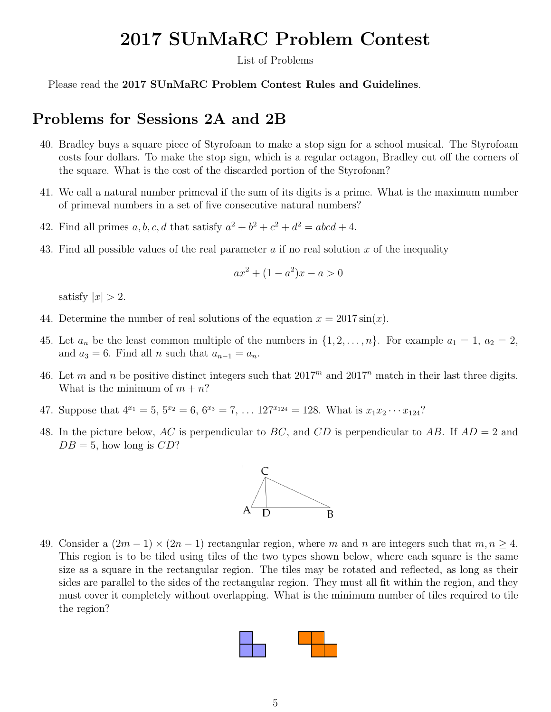## 2017 SUnMaRC Problem Contest

List of Problems

Please read the 2017 SUnMaRC Problem Contest Rules and Guidelines.

### Problems for Sessions 2A and 2B

- 40. Bradley buys a square piece of Styrofoam to make a stop sign for a school musical. The Styrofoam costs four dollars. To make the stop sign, which is a regular octagon, Bradley cut off the corners of the square. What is the cost of the discarded portion of the Styrofoam?
- 41. We call a natural number primeval if the sum of its digits is a prime. What is the maximum number of primeval numbers in a set of five consecutive natural numbers?
- 42. Find all primes *a*, *b*, *c*, *d* that satisfy  $a^2 + b^2 + c^2 + d^2 = abcd + 4$ .
- 43. Find all possible values of the real parameter *a* if no real solution *x* of the inequality

$$
ax^2 + (1 - a^2)x - a > 0
$$

satisfy  $|x| > 2$ .

- 44. Determine the number of real solutions of the equation  $x = 2017 \sin(x)$ .
- 45. Let  $a_n$  be the least common multiple of the numbers in  $\{1, 2, \ldots, n\}$ . For example  $a_1 = 1, a_2 = 2$ , and  $a_3 = 6$ . Find all *n* such that  $a_{n-1} = a_n$ .
- 46. Let *m* and *n* be positive distinct integers such that  $2017<sup>m</sup>$  and  $2017<sup>n</sup>$  match in their last three digits. What is the minimum of  $m + n$ ?
- 47. Suppose that  $4^{x_1} = 5$ ,  $5^{x_2} = 6$ ,  $6^{x_3} = 7$ ,  $\ldots$  127 $x_{124} = 128$ . What is  $x_1 x_2 \cdots x_{124}$ ?
- 48. In the picture below, *AC* is perpendicular to *BC*, and *CD* is perpendicular to *AB*. If *AD* = 2 and  $DB = 5$ , how long is  $CD$ ?



49. Consider a  $(2m - 1) \times (2n - 1)$  rectangular region, where *m* and *n* are integers such that  $m, n \ge 4$ . This region is to be tiled using tiles of the two types shown below, where each square is the same size as a square in the rectangular region. The tiles may be rotated and reflected, as long as their sides are parallel to the sides of the rectangular region. They must all fit within the region, and they must cover it completely without overlapping. What is the minimum number of tiles required to tile the region?

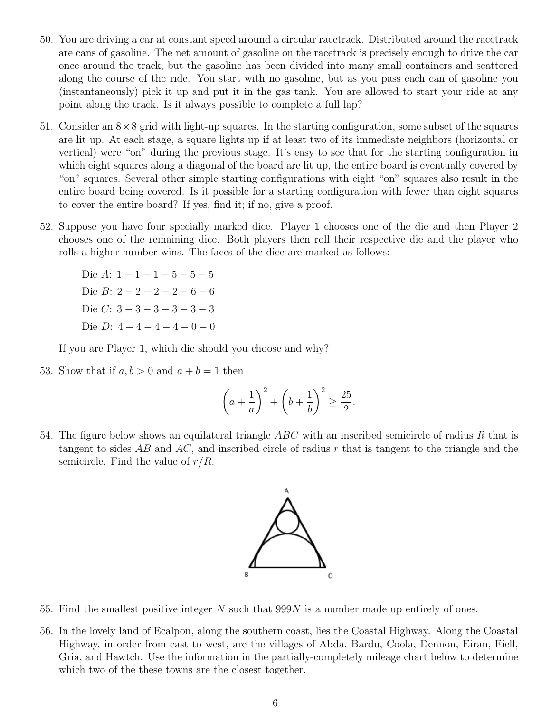- 50. You are driving a car at constant speed around a circular racetrack. Distributed around the racetrack are cans of gasoline. The net amount of gasoline on the racetrack is precisely enough to drive the car once around the track, but the gasoline has been divided into many small containers and scattered along the course of the ride. You start with no gasoline, but as you pass each can of gasoline you (instantaneously) pick it up and put it in the gas tank. You are allowed to start your ride at any point along the track. Is it always possible to complete a full lap?
- 51. Consider an  $8 \times 8$  grid with light-up squares. In the starting configuration, some subset of the squares are lit up. At each stage, a square lights up if at least two of its immediate neighbors (horizontal or vertical) were "on" during the previous stage. It's easy to see that for the starting configuration in which eight squares along a diagonal of the board are lit up, the entire board is eventually covered by "on" squares. Several other simple starting configurations with eight "on" squares also result in the entire board being covered. Is it possible for a starting configuration with fewer than eight squares to cover the entire board? If yes, find it; if no, give a proof.
- 52. Suppose you have four specially marked dice. Player 1 chooses one of the die and then Player 2 chooses one of the remaining dice. Both players then roll their respective die and the player who rolls a higher number wins. The faces of the dice are marked as follows:

Die  $A: 1 - 1 - 1 - 5 - 5 - 5$ Die *B*:  $2-2-2-2-6-6$ Die *C*:  $3-3-3-3-3-3$ Die *D*:  $4-4-4-4-0-0$ 

If you are Player 1, which die should you choose and why?

53. Show that if  $a, b > 0$  and  $a + b = 1$  then

$$
\left(a+\frac{1}{a}\right)^2 + \left(b+\frac{1}{b}\right)^2 \ge \frac{25}{2}.
$$

54. The figure below shows an equilateral triangle *ABC* with an inscribed semicircle of radius *R* that is tangent to sides *AB* and *AC*, and inscribed circle of radius *r* that is tangent to the triangle and the semicircle. Find the value of *r/R*.



- 55. Find the smallest positive integer *N* such that 999*N* is a number made up entirely of ones.
- 56. In the lovely land of Ecalpon, along the southern coast, lies the Coastal Highway. Along the Coastal Highway, in order from east to west, are the villages of Abda, Bardu, Coola, Dennon, Eiran, Fiell, Gria, and Hawtch. Use the information in the partially-completely mileage chart below to determine which two of the these towns are the closest together.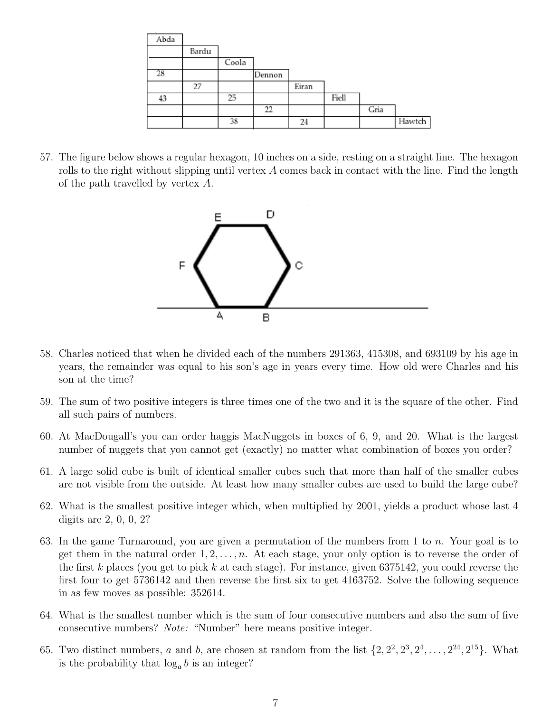| Abda |       |       |        |       |       |      |        |
|------|-------|-------|--------|-------|-------|------|--------|
|      | Bardu |       |        |       |       |      |        |
|      |       | Coola |        |       |       |      |        |
| 28   |       |       | Dennon |       |       |      |        |
|      | 27    |       |        | Eiran |       |      |        |
| 43   |       | 25    |        |       | Fiell |      |        |
|      |       |       | 22     |       |       | Gria |        |
|      |       | 38    |        | 24    |       |      | Hawtch |

57. The figure below shows a regular hexagon, 10 inches on a side, resting on a straight line. The hexagon rolls to the right without slipping until vertex *A* comes back in contact with the line. Find the length of the path travelled by vertex *A*.



- 58. Charles noticed that when he divided each of the numbers 291363, 415308, and 693109 by his age in years, the remainder was equal to his son's age in years every time. How old were Charles and his son at the time?
- 59. The sum of two positive integers is three times one of the two and it is the square of the other. Find all such pairs of numbers.
- 60. At MacDougall's you can order haggis MacNuggets in boxes of 6, 9, and 20. What is the largest number of nuggets that you cannot get (exactly) no matter what combination of boxes you order?
- 61. A large solid cube is built of identical smaller cubes such that more than half of the smaller cubes are not visible from the outside. At least how many smaller cubes are used to build the large cube?
- 62. What is the smallest positive integer which, when multiplied by 2001, yields a product whose last 4 digits are 2, 0, 0, 2?
- 63. In the game Turnaround, you are given a permutation of the numbers from 1 to *n*. Your goal is to get them in the natural order  $1, 2, \ldots, n$ . At each stage, your only option is to reverse the order of the first *k* places (you get to pick *k* at each stage). For instance, given 6375142, you could reverse the first four to get 5736142 and then reverse the first six to get 4163752. Solve the following sequence in as few moves as possible: 352614.
- 64. What is the smallest number which is the sum of four consecutive numbers and also the sum of five consecutive numbers? *Note:* "Number" here means positive integer.
- 65. Two distinct numbers, *a* and *b*, are chosen at random from the list  $\{2, 2^2, 2^3, 2^4, \ldots, 2^{24}, 2^{15}\}$ . What is the probability that  $log_a b$  is an integer?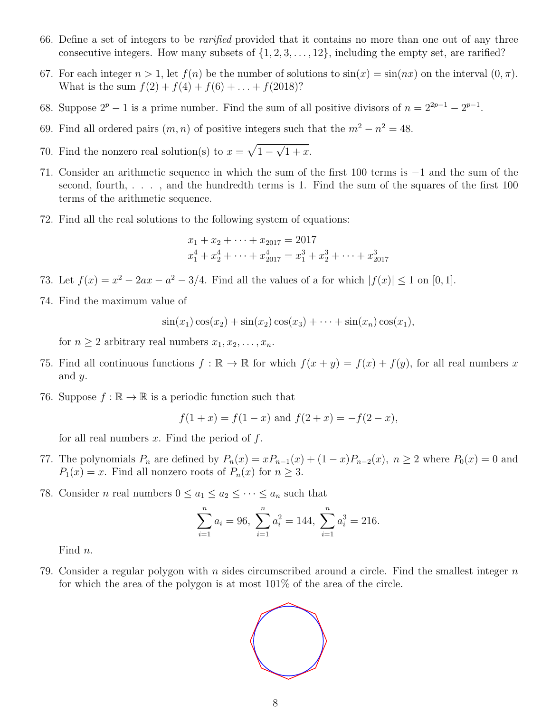- 66. Define a set of integers to be *rarified* provided that it contains no more than one out of any three consecutive integers. How many subsets of  $\{1, 2, 3, \ldots, 12\}$ , including the empty set, are rarified?
- 67. For each integer  $n > 1$ , let  $f(n)$  be the number of solutions to  $sin(x) = sin(nx)$  on the interval  $(0, \pi)$ . What is the sum  $f(2) + f(4) + f(6) + \ldots + f(2018)$ ?
- 68. Suppose  $2^p 1$  is a prime number. Find the sum of all positive divisors of  $n = 2^{2p-1} 2^{p-1}$ .
- 69. Find all ordered pairs  $(m, n)$  of positive integers such that the  $m^2 n^2 = 48$ .
- 70. Find the nonzero real solution(s) to  $x = \sqrt{1 \sqrt{1 + x}}$ .
- 71. Consider an arithmetic sequence in which the sum of the first 100 terms is  $-1$  and the sum of the second, fourth, . . . , and the hundredth terms is 1. Find the sum of the squares of the first 100 terms of the arithmetic sequence.
- 72. Find all the real solutions to the following system of equations:

$$
x_1 + x_2 + \dots + x_{2017} = 2017
$$
  

$$
x_1^4 + x_2^4 + \dots + x_{2017}^4 = x_1^3 + x_2^3 + \dots + x_{2017}^3
$$

73. Let  $f(x) = x^2 - 2ax - a^2 - 3/4$ . Find all the values of a for which  $|f(x)| \le 1$  on [0, 1].

74. Find the maximum value of

$$
\sin(x_1)\cos(x_2) + \sin(x_2)\cos(x_3) + \cdots + \sin(x_n)\cos(x_1),
$$

for  $n \geq 2$  arbitrary real numbers  $x_1, x_2, \ldots, x_n$ .

- 75. Find all continuous functions  $f : \mathbb{R} \to \mathbb{R}$  for which  $f(x + y) = f(x) + f(y)$ , for all real numbers x and *y*.
- 76. Suppose  $f : \mathbb{R} \to \mathbb{R}$  is a periodic function such that

$$
f(1+x) = f(1-x)
$$
 and  $f(2+x) = -f(2-x)$ ,

for all real numbers *x*. Find the period of *f*.

- 77. The polynomials  $P_n$  are defined by  $P_n(x) = xP_{n-1}(x) + (1-x)P_{n-2}(x)$ ,  $n \ge 2$  where  $P_0(x) = 0$  and  $P_1(x) = x$ . Find all nonzero roots of  $P_n(x)$  for  $n \geq 3$ .
- 78. Consider *n* real numbers  $0 \le a_1 \le a_2 \le \cdots \le a_n$  such that

$$
\sum_{i=1}^{n} a_i = 96, \ \sum_{i=1}^{n} a_i^2 = 144, \ \sum_{i=1}^{n} a_i^3 = 216.
$$

Find *n*.

79. Consider a regular polygon with *n* sides circumscribed around a circle. Find the smallest integer *n* for which the area of the polygon is at most 101% of the area of the circle.

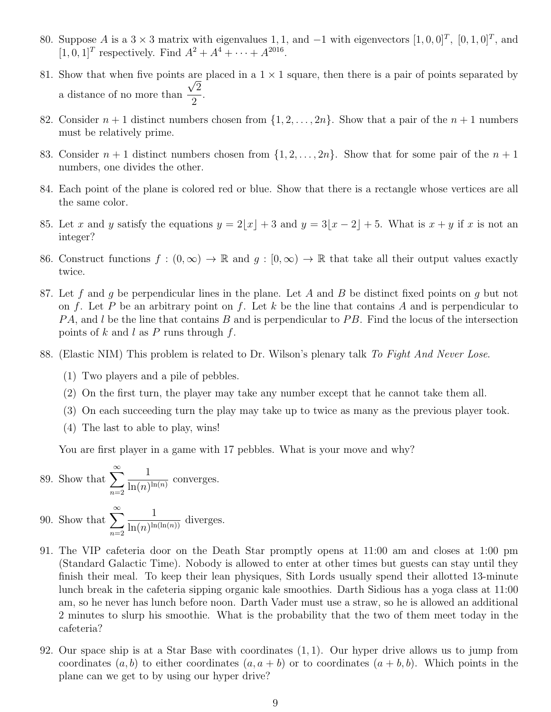- 80. Suppose *A* is a 3  $\times$  3 matrix with eigenvalues 1, 1, and -1 with eigenvectors  $[1, 0, 0]^T$ ,  $[0, 1, 0]^T$ , and  $[1, 0, 1]^T$  respectively. Find  $A^2 + A^4 + \cdots + A^{2016}$ .
- 81. Show that when five points are placed in a  $1 \times 1$  square, then there is a pair of points separated by a distance of no more than  $\frac{u}{\sqrt{2}}$  $\frac{2}{2}$ .
- 82. Consider  $n+1$  distinct numbers chosen from  $\{1, 2, \ldots, 2n\}$ . Show that a pair of the  $n+1$  numbers must be relatively prime.
- 83. Consider  $n + 1$  distinct numbers chosen from  $\{1, 2, \ldots, 2n\}$ . Show that for some pair of the  $n + 1$ numbers, one divides the other.
- 84. Each point of the plane is colored red or blue. Show that there is a rectangle whose vertices are all the same color.
- 85. Let *x* and *y* satisfy the equations  $y = 2\lfloor x \rfloor + 3$  and  $y = 3\lfloor x 2 \rfloor + 5$ . What is  $x + y$  if *x* is not an integer?
- 86. Construct functions  $f : (0, \infty) \to \mathbb{R}$  and  $g : [0, \infty) \to \mathbb{R}$  that take all their output values exactly twice.
- 87. Let *f* and *g* be perpendicular lines in the plane. Let *A* and *B* be distinct fixed points on *g* but not on *f*. Let *P* be an arbitrary point on *f*. Let *k* be the line that contains *A* and is perpendicular to *P A*, and *l* be the line that contains *B* and is perpendicular to *P B*. Find the locus of the intersection points of *k* and *l* as *P* runs through *f*.
- 88. (Elastic NIM) This problem is related to Dr. Wilson's plenary talk *To Fight And Never Lose*.
	- (1) Two players and a pile of pebbles.
	- (2) On the first turn, the player may take any number except that he cannot take them all.
	- (3) On each succeeding turn the play may take up to twice as many as the previous player took.
	- (4) The last to able to play, wins!

You are first player in a game with 17 pebbles. What is your move and why?

89. Show that 
$$
\sum_{n=2}^{\infty} \frac{1}{\ln(n)^{\ln(n)}}
$$
 converges.

90. Show that  $\sum_{n=1}^{\infty}$ *n*=2 1  $\frac{1}{\ln(n)^{\ln(\ln(n))}}$  diverges.

- 91. The VIP cafeteria door on the Death Star promptly opens at 11:00 am and closes at 1:00 pm (Standard Galactic Time). Nobody is allowed to enter at other times but guests can stay until they finish their meal. To keep their lean physiques, Sith Lords usually spend their allotted 13-minute lunch break in the cafeteria sipping organic kale smoothies. Darth Sidious has a yoga class at 11:00 am, so he never has lunch before noon. Darth Vader must use a straw, so he is allowed an additional 2 minutes to slurp his smoothie. What is the probability that the two of them meet today in the cafeteria?
- 92. Our space ship is at a Star Base with coordinates (1*,* 1). Our hyper drive allows us to jump from coordinates  $(a, b)$  to either coordinates  $(a, a + b)$  or to coordinates  $(a + b, b)$ . Which points in the plane can we get to by using our hyper drive?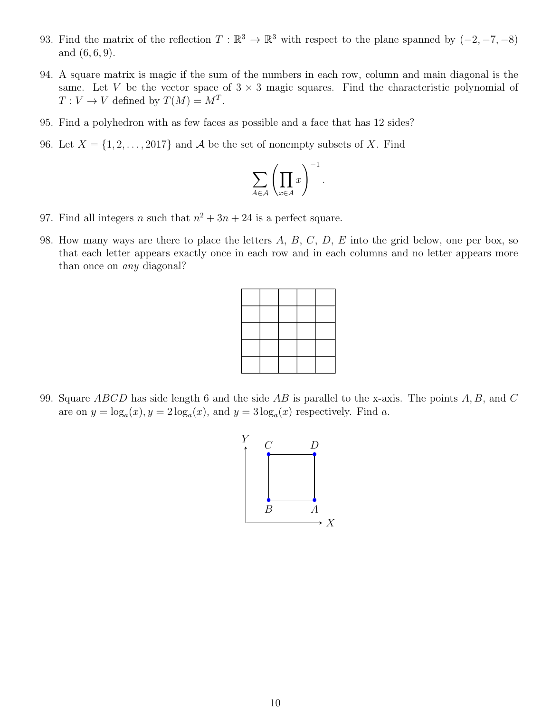- 93. Find the matrix of the reflection  $T : \mathbb{R}^3 \to \mathbb{R}^3$  with respect to the plane spanned by  $(-2, -7, -8)$ and (6*,* 6*,* 9).
- 94. A square matrix is magic if the sum of the numbers in each row, column and main diagonal is the same. Let *V* be the vector space of  $3 \times 3$  magic squares. Find the characteristic polynomial of  $T: V \to V$  defined by  $T(M) = M^T$ .
- 95. Find a polyhedron with as few faces as possible and a face that has 12 sides?
- 96. Let  $X = \{1, 2, \ldots, 2017\}$  and *A* be the set of nonempty subsets of *X*. Find

$$
\sum_{A\in\mathcal{A}}\left(\prod_{x\in A}x\right)^{-1}
$$

*.*

- 97. Find all integers *n* such that  $n^2 + 3n + 24$  is a perfect square.
- 98. How many ways are there to place the letters *A*, *B*, *C*, *D*, *E* into the grid below, one per box, so that each letter appears exactly once in each row and in each columns and no letter appears more than once on *any* diagonal?

99. Square *ABCD* has side length 6 and the side *AB* is parallel to the x-axis. The points *A, B,* and *C* are on  $y = \log_a(x)$ ,  $y = 2 \log_a(x)$ , and  $y = 3 \log_a(x)$  respectively. Find a.

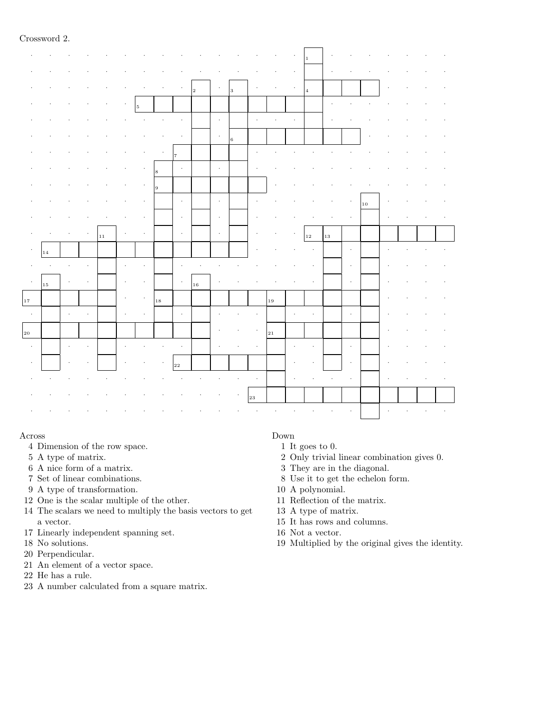#### Crossword 2.

|                         |    |                      |                      |    |   |    |                   |            |                      |             |              |              | $1\,$                |    |                      |            |  |  |
|-------------------------|----|----------------------|----------------------|----|---|----|-------------------|------------|----------------------|-------------|--------------|--------------|----------------------|----|----------------------|------------|--|--|
|                         |    |                      |                      |    |   |    |                   |            |                      |             |              |              |                      |    |                      |            |  |  |
|                         |    |                      |                      |    |   |    |                   | $\vert$ 2  | $\cdot$              | $\,$ 3 $\,$ |              |              | $\overline{4}$       |    |                      |            |  |  |
|                         |    |                      |                      |    | 5 |    |                   |            |                      |             |              |              |                      |    |                      |            |  |  |
|                         |    |                      |                      |    |   |    |                   |            | $\cdot$              |             | $\cdot$      |              |                      |    |                      |            |  |  |
|                         |    |                      |                      |    |   |    |                   |            | $\ddot{\phantom{a}}$ | $\,$ 6 $\,$ |              |              |                      |    |                      |            |  |  |
|                         |    |                      |                      |    |   |    | $\overline{\tau}$ |            |                      |             |              |              |                      |    |                      |            |  |  |
|                         |    |                      |                      |    |   | 8  | $\cdot$           |            | $\ddot{\phantom{a}}$ |             |              |              |                      |    |                      |            |  |  |
|                         |    |                      |                      |    |   | 9  |                   |            |                      |             |              |              |                      |    |                      |            |  |  |
|                         |    |                      |                      |    |   |    | $\cdot$           |            | $\cdot$              |             |              |              |                      |    |                      | $\vert$ 10 |  |  |
|                         |    |                      |                      |    |   |    | $\cdot$           |            | $\cdot$              |             |              |              |                      |    |                      |            |  |  |
|                         |    |                      |                      | 11 |   |    | $\cdot$           |            | $\cdot$              |             |              |              | $1\,2$               | 13 |                      |            |  |  |
| $\cdot$                 | 14 |                      |                      |    |   |    |                   |            |                      |             |              |              |                      |    | $\cdot$              |            |  |  |
|                         |    |                      |                      |    |   |    |                   |            |                      |             |              |              |                      |    |                      |            |  |  |
|                         |    |                      |                      |    |   |    |                   |            |                      |             |              |              |                      |    | $\cdot$              |            |  |  |
|                         | 15 |                      |                      |    |   |    | $\cdot$           | $\vert$ 16 |                      |             |              |              |                      |    | $\cdot$              |            |  |  |
|                         |    |                      |                      |    |   | 18 |                   |            |                      |             |              | $\vert_{19}$ |                      |    |                      |            |  |  |
| $\vert_{17}$<br>$\cdot$ |    | $\ddot{\phantom{a}}$ |                      |    |   |    | $\cdot$           |            |                      |             |              |              | $\cdot$              |    | $\cdot$              |            |  |  |
|                         |    |                      |                      |    |   |    |                   |            |                      |             |              | 21           |                      |    |                      |            |  |  |
| $\boxed{20}$<br>$\sim$  |    | $\cdot$              | $\ddot{\phantom{a}}$ |    |   |    | $\cdot$           |            |                      |             |              |              | $\ddot{\phantom{0}}$ |    | $\cdot$              |            |  |  |
|                         |    |                      |                      |    |   |    | $\sqrt{22}$       |            |                      |             |              |              |                      |    | $\cdot$              |            |  |  |
|                         |    |                      |                      |    |   |    |                   |            |                      |             |              |              |                      |    | $\ddot{\phantom{0}}$ |            |  |  |
|                         |    |                      |                      |    |   |    |                   |            |                      |             | $\vert_{23}$ |              |                      |    |                      |            |  |  |

#### Across

- 4 Dimension of the row space.
- 5 A type of matrix.
- 6 A nice form of a matrix.
- 7 Set of linear combinations.
- 9 A type of transformation.
- 12 One is the scalar multiple of the other.
- 14 The scalars we need to multiply the basis vectors to get a vector.
- 17 Linearly independent spanning set.
- 18 No solutions.
- 20 Perpendicular.
- 21 An element of a vector space.
- 22 He has a rule.
- 23 A number calculated from a square matrix.

#### Down

- 1 It goes to 0.
- 2 Only trivial linear combination gives 0.
- 3 They are in the diagonal.
- 8 Use it to get the echelon form.
- 10 A polynomial.
- 11 Reflection of the matrix.
- 13 A type of matrix.
- 15 It has rows and columns.
- 16 Not a vector.
- 19 Multiplied by the original gives the identity.